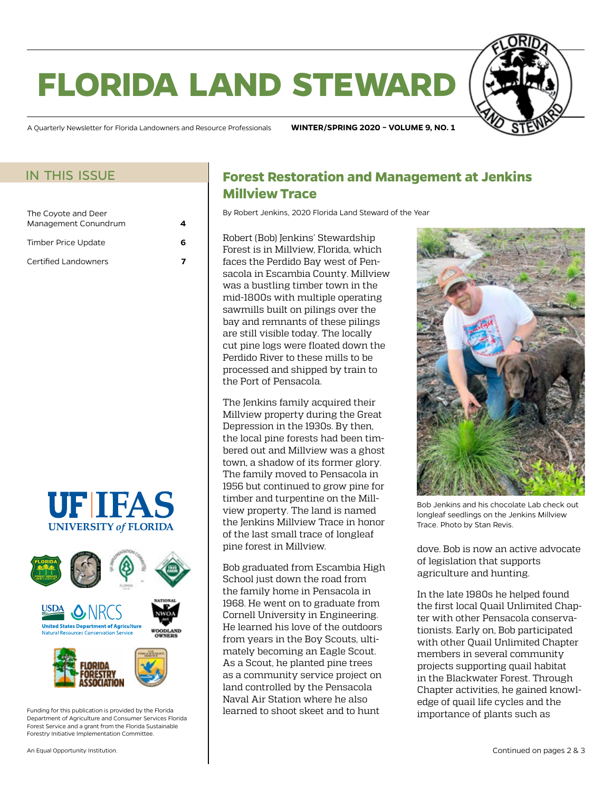# **florida land steward**



A Quarterly Newsletter for Florida Landowners and Resource Professionals **WINTER/SPRING 2020 – VOLUME 9, NO. 1**

#### in this issue

| The Coyote and Deer<br>Management Conundrum |   |
|---------------------------------------------|---|
| <b>Timber Price Update</b>                  | 6 |
| Certified Landowners                        | 7 |





Funding for this publication is provided by the Florida Department of Agriculture and Consumer Services Florida Forest Service and a grant from the Florida Sustainable Forestry Initiative Implementation Committee.

### **Forest Restoration and Management at Jenkins Millview Trace**

By Robert Jenkins, 2020 Florida Land Steward of the Year

Robert (Bob) Jenkins' Stewardship Forest is in Millview, Florida, which faces the Perdido Bay west of Pensacola in Escambia County. Millview was a bustling timber town in the mid-1800s with multiple operating sawmills built on pilings over the bay and remnants of these pilings are still visible today. The locally cut pine logs were floated down the Perdido River to these mills to be processed and shipped by train to the Port of Pensacola.

The Jenkins family acquired their Millview property during the Great Depression in the 1930s. By then, the local pine forests had been timbered out and Millview was a ghost town, a shadow of its former glory. The family moved to Pensacola in 1956 but continued to grow pine for timber and turpentine on the Millview property. The land is named the Jenkins Millview Trace in honor of the last small trace of longleaf pine forest in Millview.

Bob graduated from Escambia High School just down the road from the family home in Pensacola in 1968. He went on to graduate from Cornell University in Engineering. He learned his love of the outdoors from years in the Boy Scouts, ultimately becoming an Eagle Scout. As a Scout, he planted pine trees as a community service project on land controlled by the Pensacola Naval Air Station where he also learned to shoot skeet and to hunt



Bob Jenkins and his chocolate Lab check out longleaf seedlings on the Jenkins Millview Trace. Photo by Stan Revis.

dove. Bob is now an active advocate of legislation that supports agriculture and hunting.

In the late 1980s he helped found the first local Quail Unlimited Chapter with other Pensacola conservationists. Early on, Bob participated with other Quail Unlimited Chapter members in several community projects supporting quail habitat in the Blackwater Forest. Through Chapter activities, he gained knowledge of quail life cycles and the importance of plants such as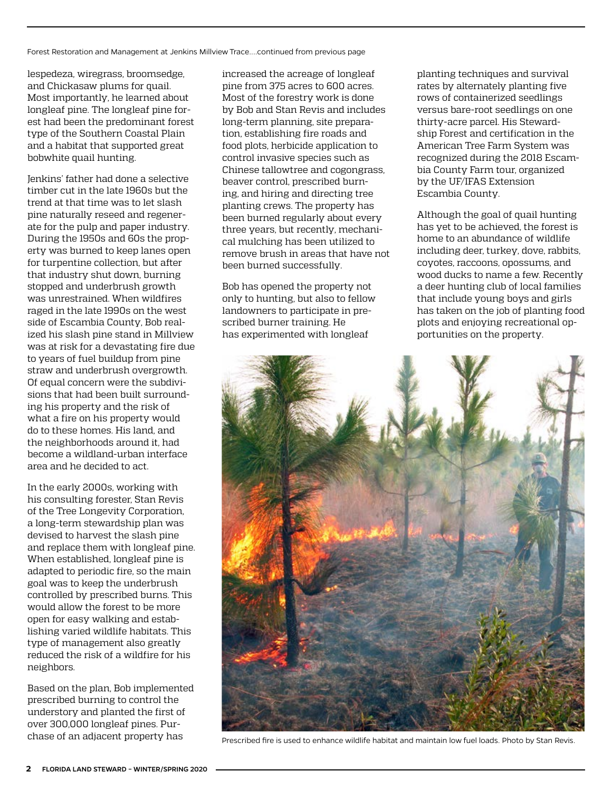Forest Restoration and Management at Jenkins Millview Trace....continued from previous page

lespedeza, wiregrass, broomsedge, and Chickasaw plums for quail. Most importantly, he learned about longleaf pine. The longleaf pine forest had been the predominant forest type of the Southern Coastal Plain and a habitat that supported great bobwhite quail hunting.

Jenkins' father had done a selective timber cut in the late 1960s but the trend at that time was to let slash pine naturally reseed and regenerate for the pulp and paper industry. During the 1950s and 60s the property was burned to keep lanes open for turpentine collection, but after that industry shut down, burning stopped and underbrush growth was unrestrained. When wildfires raged in the late 1990s on the west side of Escambia County, Bob realized his slash pine stand in Millview was at risk for a devastating fire due to years of fuel buildup from pine straw and underbrush overgrowth. Of equal concern were the subdivisions that had been built surrounding his property and the risk of what a fire on his property would do to these homes. His land, and the neighborhoods around it, had become a wildland-urban interface area and he decided to act.

In the early 2000s, working with his consulting forester, Stan Revis of the Tree Longevity Corporation, a long-term stewardship plan was devised to harvest the slash pine and replace them with longleaf pine. When established, longleaf pine is adapted to periodic fire, so the main goal was to keep the underbrush controlled by prescribed burns. This would allow the forest to be more open for easy walking and establishing varied wildlife habitats. This type of management also greatly reduced the risk of a wildfire for his neighbors.

Based on the plan, Bob implemented prescribed burning to control the understory and planted the first of over 300,000 longleaf pines. Purchase of an adjacent property has

increased the acreage of longleaf pine from 375 acres to 600 acres. Most of the forestry work is done by Bob and Stan Revis and includes long-term planning, site preparation, establishing fire roads and food plots, herbicide application to control invasive species such as Chinese tallowtree and cogongrass, beaver control, prescribed burning, and hiring and directing tree planting crews. The property has been burned regularly about every three years, but recently, mechanical mulching has been utilized to remove brush in areas that have not been burned successfully.

Bob has opened the property not only to hunting, but also to fellow landowners to participate in prescribed burner training. He has experimented with longleaf

planting techniques and survival rates by alternately planting five rows of containerized seedlings versus bare-root seedlings on one thirty-acre parcel. His Stewardship Forest and certification in the American Tree Farm System was recognized during the 2018 Escambia County Farm tour, organized by the UF/IFAS Extension Escambia County.

Although the goal of quail hunting has yet to be achieved, the forest is home to an abundance of wildlife including deer, turkey, dove, rabbits, coyotes, raccoons, opossums, and wood ducks to name a few. Recently a deer hunting club of local families that include young boys and girls has taken on the job of planting food plots and enjoying recreational opportunities on the property.



Prescribed fire is used to enhance wildlife habitat and maintain low fuel loads. Photo by Stan Revis.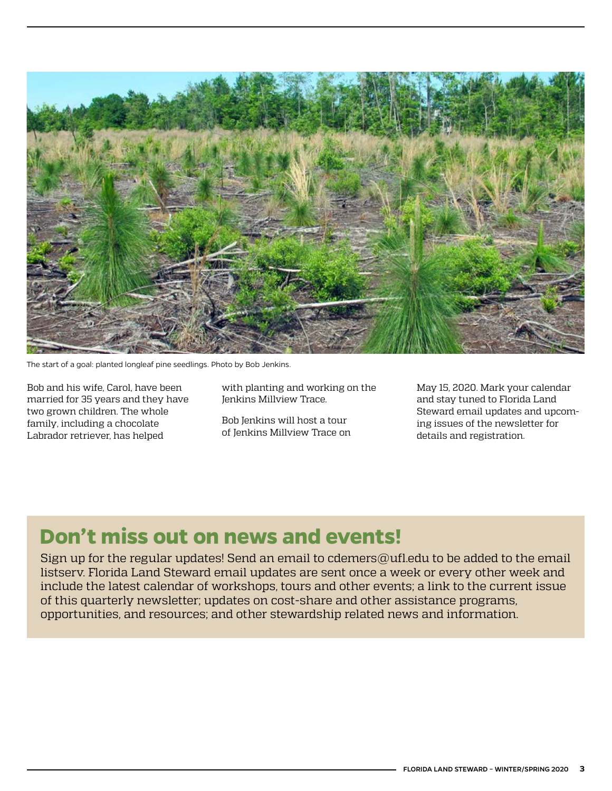

The start of a goal: planted longleaf pine seedlings. Photo by Bob Jenkins.

Bob and his wife, Carol, have been married for 35 years and they have two grown children. The whole family, including a chocolate Labrador retriever, has helped

with planting and working on the Jenkins Millview Trace.

Bob Jenkins will host a tour of Jenkins Millview Trace on May 15, 2020. Mark your calendar and stay tuned to Florida Land Steward email updates and upcoming issues of the newsletter for details and registration.

## **Don't miss out on news and events!**

Sign up for the regular updates! Send an email to [cdemers@ufl.edu](mailto:cdemers%40ufl.edu?subject=) to be added to the email listserv. Florida Land Steward email updates are sent once a week or every other week and include the latest calendar of workshops, tours and other events; a link to the current issue of this quarterly newsletter; updates on cost-share and other assistance programs, opportunities, and resources; and other stewardship related news and information.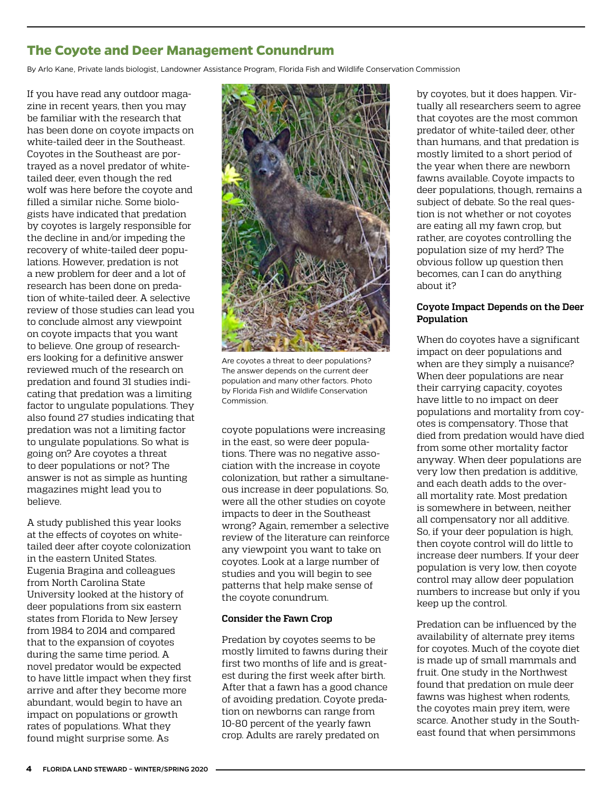### <span id="page-3-0"></span>**The Coyote and Deer Management Conundrum**

By Arlo Kane, Private lands biologist, Landowner Assistance Program, Florida Fish and Wildlife Conservation Commission

If you have read any outdoor magazine in recent years, then you may be familiar with the research that has been done on coyote impacts on white-tailed deer in the Southeast. Coyotes in the Southeast are portrayed as a novel predator of whitetailed deer, even though the red wolf was here before the coyote and filled a similar niche. Some biologists have indicated that predation by coyotes is largely responsible for the decline in and/or impeding the recovery of white-tailed deer populations. However, predation is not a new problem for deer and a lot of research has been done on predation of white-tailed deer. A selective review of those studies can lead you to conclude almost any viewpoint on coyote impacts that you want to believe. One group of researchers looking for a definitive answer reviewed much of the research on predation and found 31 studies indicating that predation was a limiting factor to ungulate populations. They also found 27 studies indicating that predation was not a limiting factor to ungulate populations. So what is going on? Are coyotes a threat to deer populations or not? The answer is not as simple as hunting magazines might lead you to believe.

A study published this year looks at the effects of coyotes on whitetailed deer after coyote colonization in the eastern United States. Eugenia Bragina and colleagues from North Carolina State University looked at the history of deer populations from six eastern states from Florida to New Jersey from 1984 to 2014 and compared that to the expansion of coyotes during the same time period. A novel predator would be expected to have little impact when they first arrive and after they become more abundant, would begin to have an impact on populations or growth rates of populations. What they found might surprise some. As



Are coyotes a threat to deer populations? The answer depends on the current deer population and many other factors. Photo by Florida Fish and Wildlife Conservation Commission.

coyote populations were increasing in the east, so were deer populations. There was no negative association with the increase in coyote colonization, but rather a simultaneous increase in deer populations. So, were all the other studies on coyote impacts to deer in the Southeast wrong? Again, remember a selective review of the literature can reinforce any viewpoint you want to take on coyotes. Look at a large number of studies and you will begin to see patterns that help make sense of the coyote conundrum.

#### **Consider the Fawn Crop**

Predation by coyotes seems to be mostly limited to fawns during their first two months of life and is greatest during the first week after birth. After that a fawn has a good chance of avoiding predation. Coyote predation on newborns can range from 10-80 percent of the yearly fawn crop. Adults are rarely predated on

by coyotes, but it does happen. Virtually all researchers seem to agree that coyotes are the most common predator of white-tailed deer, other than humans, and that predation is mostly limited to a short period of the year when there are newborn fawns available. Coyote impacts to deer populations, though, remains a subject of debate. So the real question is not whether or not coyotes are eating all my fawn crop, but rather, are coyotes controlling the population size of my herd? The obvious follow up question then becomes, can I can do anything about it?

#### **Coyote Impact Depends on the Deer Population**

When do coyotes have a significant impact on deer populations and when are they simply a nuisance? When deer populations are near their carrying capacity, coyotes have little to no impact on deer populations and mortality from coyotes is compensatory. Those that died from predation would have died from some other mortality factor anyway. When deer populations are very low then predation is additive, and each death adds to the overall mortality rate. Most predation is somewhere in between, neither all compensatory nor all additive. So, if your deer population is high, then coyote control will do little to increase deer numbers. If your deer population is very low, then coyote control may allow deer population numbers to increase but only if you keep up the control.

Predation can be influenced by the availability of alternate prey items for coyotes. Much of the coyote diet is made up of small mammals and fruit. One study in the Northwest found that predation on mule deer fawns was highest when rodents, the coyotes main prey item, were scarce. Another study in the Southeast found that when persimmons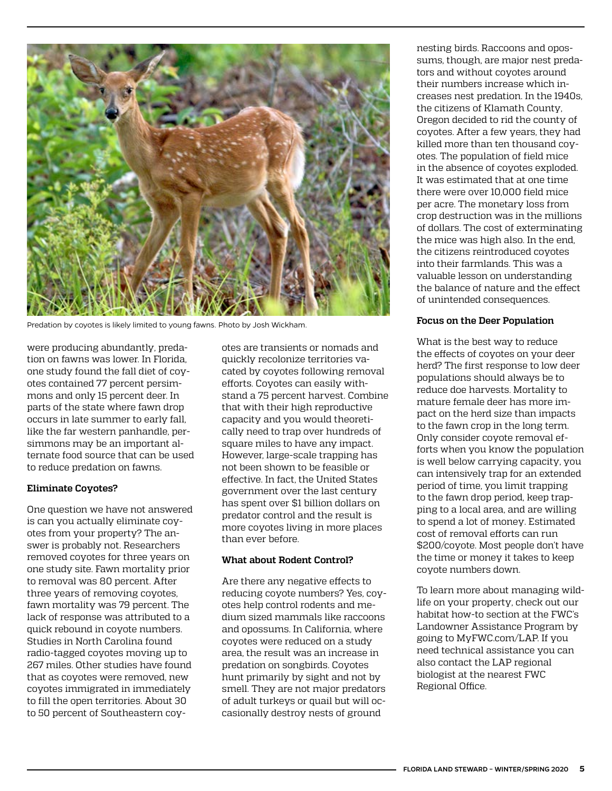

Predation by coyotes is likely limited to young fawns. Photo by Josh Wickham.

were producing abundantly, predation on fawns was lower. In Florida, one study found the fall diet of coyotes contained 77 percent persimmons and only 15 percent deer. In parts of the state where fawn drop occurs in late summer to early fall, like the far western panhandle, persimmons may be an important alternate food source that can be used to reduce predation on fawns.

#### **Eliminate Coyotes?**

One question we have not answered is can you actually eliminate coyotes from your property? The answer is probably not. Researchers removed coyotes for three years on one study site. Fawn mortality prior to removal was 80 percent. After three years of removing coyotes, fawn mortality was 79 percent. The lack of response was attributed to a quick rebound in coyote numbers. Studies in North Carolina found radio-tagged coyotes moving up to 267 miles. Other studies have found that as coyotes were removed, new coyotes immigrated in immediately to fill the open territories. About 30 to 50 percent of Southeastern coyotes are transients or nomads and quickly recolonize territories vacated by coyotes following removal efforts. Coyotes can easily withstand a 75 percent harvest. Combine that with their high reproductive capacity and you would theoretically need to trap over hundreds of square miles to have any impact. However, large-scale trapping has not been shown to be feasible or effective. In fact, the United States government over the last century has spent over \$1 billion dollars on predator control and the result is more coyotes living in more places than ever before.

#### **What about Rodent Control?**

Are there any negative effects to reducing coyote numbers? Yes, coyotes help control rodents and medium sized mammals like raccoons and opossums. In California, where coyotes were reduced on a study area, the result was an increase in predation on songbirds. Coyotes hunt primarily by sight and not by smell. They are not major predators of adult turkeys or quail but will occasionally destroy nests of ground

nesting birds. Raccoons and opossums, though, are major nest predators and without coyotes around their numbers increase which increases nest predation. In the 1940s, the citizens of Klamath County, Oregon decided to rid the county of coyotes. After a few years, they had killed more than ten thousand coyotes. The population of field mice in the absence of coyotes exploded. It was estimated that at one time there were over 10,000 field mice per acre. The monetary loss from crop destruction was in the millions of dollars. The cost of exterminating the mice was high also. In the end, the citizens reintroduced coyotes into their farmlands. This was a valuable lesson on understanding the balance of nature and the effect of unintended consequences.

#### **Focus on the Deer Population**

What is the best way to reduce the effects of coyotes on your deer herd? The first response to low deer populations should always be to reduce doe harvests. Mortality to mature female deer has more impact on the herd size than impacts to the fawn crop in the long term. Only consider coyote removal efforts when you know the population is well below carrying capacity, you can intensively trap for an extended period of time, you limit trapping to the fawn drop period, keep trapping to a local area, and are willing to spend a lot of money. Estimated cost of removal efforts can run \$200/coyote. Most people don't have the time or money it takes to keep coyote numbers down.

To learn more about managing wildlife on your property, check out our habitat how-to section at the FWC's Landowner Assistance Program by going to [MyFWC.com/LAP.](mailto:MyFWC.com/LAP?subject=) If you need technical assistance you can also contact the LAP regional biologist at the nearest FWC Regional Office.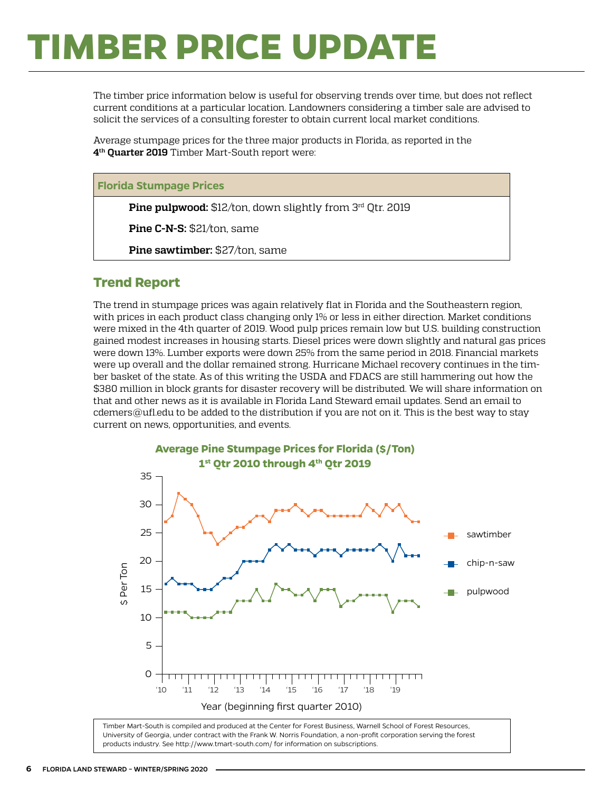# <span id="page-5-0"></span>**TIMBER PRICE UPDATE**

The timber price information below is useful for observing trends over time, but does not reflect current conditions at a particular location. Landowners considering a timber sale are advised to solicit the services of a consulting forester to obtain current local market conditions.

Average stumpage prices for the three major products in Florida, as reported in the **4th Quarter 2019** Timber Mart-South report were:

#### **Florida Stumpage Prices**

**Pine pulpwood:** \$12/ton, down slightly from 3rd Qtr. 2019

**Pine C-N-S:** \$21/ton, same

**Pine sawtimber:** \$27/ton, same

#### **Trend Report**

The trend in stumpage prices was again relatively flat in Florida and the Southeastern region, with prices in each product class changing only 1% or less in either direction. Market conditions were mixed in the 4th quarter of 2019. Wood pulp prices remain low but U.S. building construction gained modest increases in housing starts. Diesel prices were down slightly and natural gas prices were down 13%. Lumber exports were down 25% from the same period in 2018. Financial markets were up overall and the dollar remained strong. Hurricane Michael recovery continues in the timber basket of the state. As of this writing the USDA and FDACS are still hammering out how the \$380 million in block grants for disaster recovery will be distributed. We will share information on that and other news as it is available in Florida Land Steward email updates. Send an email to [cdemers@ufl.edu](mailto:cdemers%40ufl.edu?subject=) to be added to the distribution if you are not on it. This is the best way to stay current on news, opportunities, and events.



University of Georgia, under contract with the Frank W. Norris Foundation, a non-profit corporation serving the forest products industry. See <http://www.tmart-south.com/>for information on subscriptions.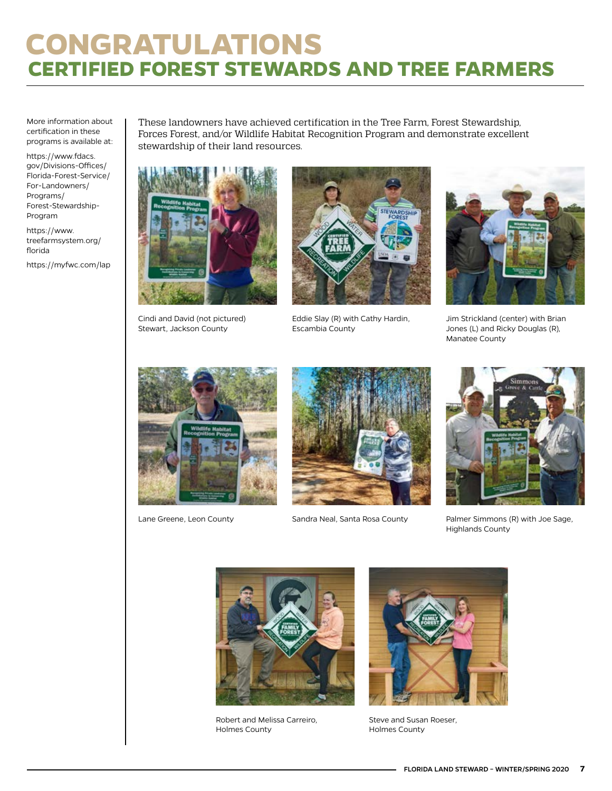## <span id="page-6-0"></span>**CONGRATULATIONS CERTIFIED FOREST STEWARDS AND TREE FARMERS**

More information about certification in these programs is available at:

[https://www.fdacs.](https://www.fdacs.gov/Divisions-Offices/Florida-Forest-Service/For-Landowners/Programs/Forest-Stewardship-Program) [gov/Divisions-Offices/](https://www.fdacs.gov/Divisions-Offices/Florida-Forest-Service/For-Landowners/Programs/Forest-Stewardship-Program) [Florida-Forest-Service/](https://www.fdacs.gov/Divisions-Offices/Florida-Forest-Service/For-Landowners/Programs/Forest-Stewardship-Program) [For-Landowners/](https://www.fdacs.gov/Divisions-Offices/Florida-Forest-Service/For-Landowners/Programs/Forest-Stewardship-Program) [Programs/](https://www.fdacs.gov/Divisions-Offices/Florida-Forest-Service/For-Landowners/Programs/Forest-Stewardship-Program) [Forest-Stewardship-](https://www.fdacs.gov/Divisions-Offices/Florida-Forest-Service/For-Landowners/Programs/Forest-Stewardship-Program)[Program](https://www.fdacs.gov/Divisions-Offices/Florida-Forest-Service/For-Landowners/Programs/Forest-Stewardship-Program)

[https://www.](https://www.treefarmsystem.org/florida) [treefarmsystem.org/](https://www.treefarmsystem.org/florida) [florida](https://www.treefarmsystem.org/florida)

<https://myfwc.com/lap>

These landowners have achieved certification in the Tree Farm, Forest Stewardship, Forces Forest, and/or Wildlife Habitat Recognition Program and demonstrate excellent stewardship of their land resources.



Cindi and David (not pictured) Stewart, Jackson County



Eddie Slay (R) with Cathy Hardin, Escambia County



Jim Strickland (center) with Brian Jones (L) and Ricky Douglas (R), Manatee County







Lane Greene, Leon County Sandra Neal, Santa Rosa County Palmer Simmons (R) with Joe Sage, Highlands County



Robert and Melissa Carreiro, Holmes County



Steve and Susan Roeser, Holmes County